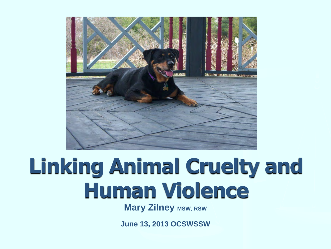

# **Linking Animal Cruelty and Human Violence**

**Mary Zilney MSW, RSW** 

**June 13, 2013 OCSWSSW**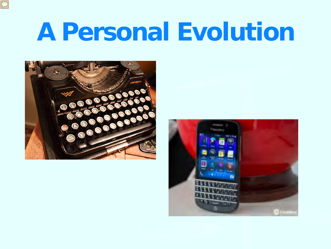# **A Personal Evolution**



 $\boxed{\bigcirc}$ 

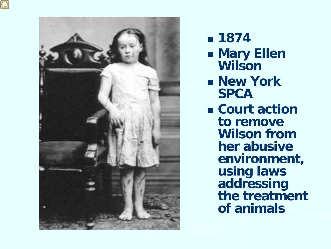

- **1874**
- **Mary Ellen Wilson**
- **New York SPCA**
- **Court action to remove Wilson from her abusive environment, using laws addressing the treatment of animals**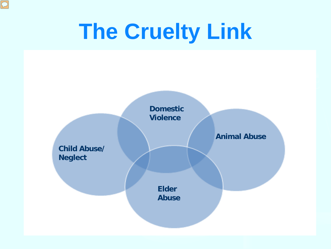# **The Cruelty Link**

 $\boxed{\bigcirc}$ 

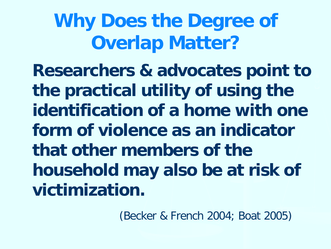### **Why Does the Degree of Overlap Matter?**

**Researchers & advocates point to the practical utility of using the identification of a home with one form of violence as an indicator that other members of the household may also be at risk of victimization.**

(Becker & French 2004; Boat 2005)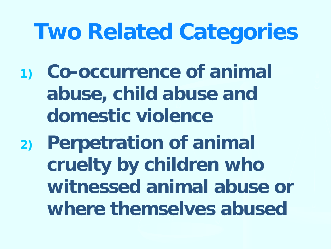# **Two Related Categories**

- **1) Co-occurrence of animal abuse, child abuse and domestic violence**
- **2) Perpetration of animal cruelty by children who witnessed animal abuse or where themselves abused**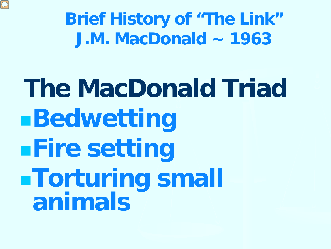

**Brief History of "The Link" J.M. MacDonald ~ 1963**

# **The MacDonald Triad Bedwetting Fire setting Torturing small animals**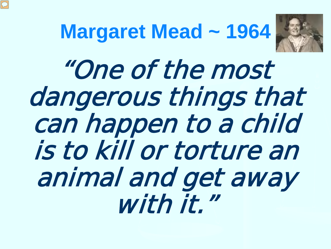# **Margaret Mead ~ 1964**



"One of the most dangerous things that can happen to a child is to kill or torture an animal and get away with it."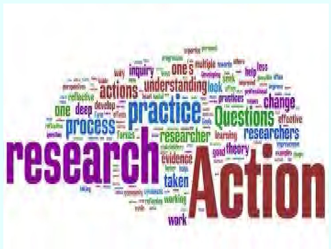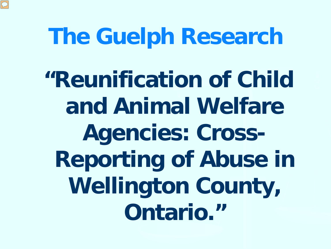# **The Guelph Research**

**"Reunification of Child and Animal Welfare Agencies: Cross-Reporting of Abuse in Wellington County, Ontario."**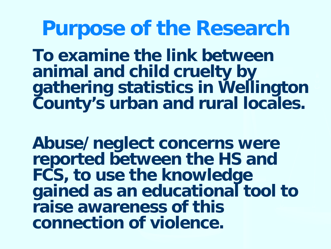#### **Purpose of the Research**

 **To examine the link between animal and child cruelty by gathering statistics in Wellington County's urban and rural locales.** 

**Abuse/neglect concerns were reported between the HS and FCS, to use the knowledge gained as an educational tool to raise awareness of this connection of violence.**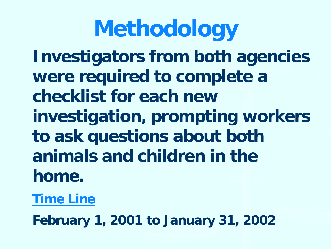# **Methodology**

 **Investigators from both agencies were required to complete a checklist for each new investigation, prompting workers to ask questions about both animals and children in the home.** 

#### **Time Line**

**February 1, 2001 to January 31, 2002**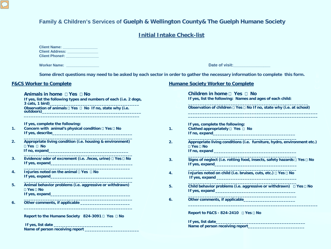$\overline{D}$ 

#### **Family & Children's Services of Guelph & Wellington County& The Guelph Humane Society**

#### **Initial Intake Check-list**

| <b>Client Name:</b>    |  |
|------------------------|--|
| <b>Client Address:</b> |  |
| <b>Client Phone#:</b>  |  |
|                        |  |

| <b>Worker Name:</b> |  |
|---------------------|--|
|---------------------|--|

| Date of visit: |
|----------------|
|                |

**Some direct questions may need to be asked by each sector in order to gather the necessary information to complete this form.** 

#### **F&CS Worker to Complete**

|    | Animals in home $\Box$ Yes $\Box$ No<br>If yes, list the following types and numbers of each (i.e. 2 dogs, |    | Children in home □ Yes □ No<br>If yes, list the following: Names and ages of each child:        |
|----|------------------------------------------------------------------------------------------------------------|----|-------------------------------------------------------------------------------------------------|
|    | Observation of animals $\Box$ Yes $\Box$ No If no, state why (i.e.                                         |    | Observation of children □ Yes □ No If no, state why (i.e. at school)                            |
| 1. | If yes, complete the following:<br>Concern with animal's physical condition □ Yes □ No                     | 1. | If yes, complete the following:<br>Clothed appropriately $\Box$ Yes $\Box$ No                   |
| 2. | Appropriate living condition (i.e. housing & environment)<br>$\Box$ Yes $\Box$ No                          | 2. | Appropriate living conditions (i.e. furniture, hydro, environment etc.)<br>$\Box$ Yes $\Box$ No |
| 3. | Evidence/odor of excrement (i.e. .feces, urine) □ Yes □ No                                                 | 3. | Signs of neglect (i.e. rotting food, insects, safety hazards □ Yes □ No                         |
| 4. | Injuries noted on the animal □ Yes □ No                                                                    | 4. | Injuries noted on child (i.e. bruises, cuts, etc.) □ Yes □ No                                   |
| 5. | Animal behavior problems (i.e. aggressive or withdrawn)<br>$\Box$ Yes $\Box$ No                            | 5. | Child behavior problems (i.e. aggressive or withdrawn) □ Yes □ No                               |
| 6. |                                                                                                            | 6. |                                                                                                 |
|    | Report to the Humane Society 824-3091 □ Yes □ No                                                           |    | Report to F&CS - 824-2410 $\Box$ Yes $\Box$ No                                                  |
|    | Name of person receiving report ____________                                                               |    |                                                                                                 |

#### **Humane Society Worker to Complete**

|    | If yes, complete the following:                                                                 |
|----|-------------------------------------------------------------------------------------------------|
| 1. | Clothed appropriately □ Yes □ No                                                                |
| 2. | Appropriate living conditions (i.e. furniture, hydro, environment etc.)<br>$\Box$ Yes $\Box$ No |
| 3. | Signs of neglect (i.e. rotting food, insects, safety hazards □ Yes □ No                         |
| 4. | Injuries noted on child (i.e. bruises, cuts, etc.) □ Yes □ No                                   |
| 5. | Child behavior problems (i.e. aggressive or withdrawn) □ Yes □ No                               |
| 6. |                                                                                                 |
|    | Report to F&CS - 824-2410 $\Box$ Yes $\Box$ No                                                  |
|    | If yes, list date                                                                               |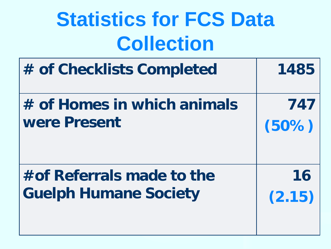# **Statistics for FCS Data Collection**

| # of Checklists Completed    | 1485   |
|------------------------------|--------|
| # of Homes in which animals  | 747    |
| were Present                 | (50%)  |
| #of Referrals made to the    | 16     |
| <b>Guelph Humane Society</b> | (2.15) |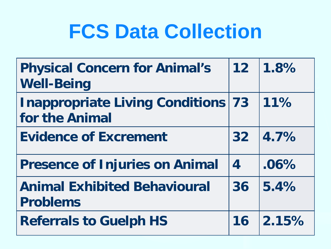## **FCS Data Collection**

| <b>Physical Concern for Animal's</b><br><b>Well-Being</b>   | 12 | 1.8%    |
|-------------------------------------------------------------|----|---------|
| <b>Inappropriate Living Conditions 73</b><br>for the Animal |    | 11%     |
| <b>Evidence of Excrement</b>                                | 32 | 4.7%    |
| <b>Presence of Injuries on Animal</b>                       | 4  | $.06\%$ |
| <b>Animal Exhibited Behavioural</b><br><b>Problems</b>      | 36 | 5.4%    |
| <b>Referrals to Guelph HS</b>                               | 16 | 2.15%   |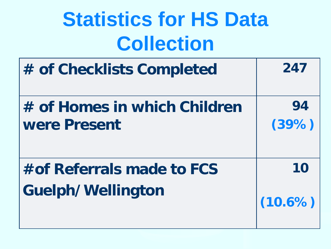# **Statistics for HS Data Collection**

| # of Checklists Completed    | 247        |
|------------------------------|------------|
| # of Homes in which Children | 94         |
| were Present                 | (39%)      |
| # of Referrals made to FCS   | 10         |
| Guelph/Wellington            | $(10.6\%)$ |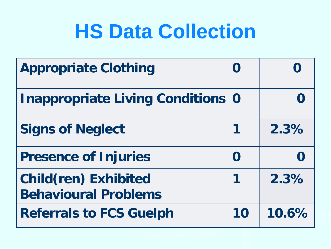## **HS Data Collection**

| <b>Appropriate Clothing</b>                                |          |       |
|------------------------------------------------------------|----------|-------|
| <b>Inappropriate Living Conditions 0</b>                   |          |       |
| <b>Signs of Neglect</b>                                    |          | 2.3%  |
| <b>Presence of Injuries</b>                                | $\Omega$ |       |
| <b>Child(ren) Exhibited</b><br><b>Behavioural Problems</b> |          | 2.3%  |
| <b>Referrals to FCS Guelph</b>                             | 10       | 10.6% |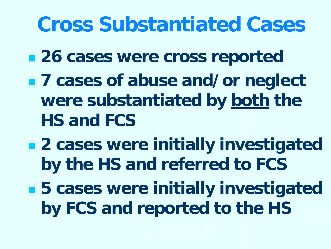## **Cross Substantiated Cases**

- **26 cases were cross reported**
- 7 cases of abuse and/or neglect **were substantiated by both the HS and FCS**
- **2 cases were initially investigated by the HS and referred to FCS**
- **5 cases were initially investigated by FCS and reported to the HS**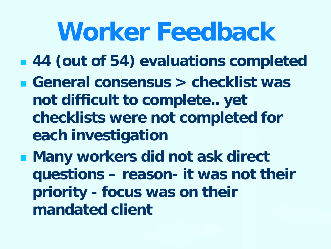# **Worker Feedback**

- **44 (out of 54) evaluations completed**
- **General consensus > checklist was not difficult to complete.. yet checklists were not completed for each investigation**
- **Many workers did not ask direct questions – reason- it was not their priority - focus was on their mandated client**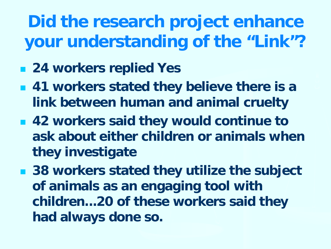#### **Did the research project enhance your understanding of the "Link"?**

- **24 workers replied Yes**
- **41 workers stated they believe there is a link between human and animal cruelty**
- **42 workers said they would continue to ask about either children or animals when they investigate**
- **38 workers stated they utilize the subject of animals as an engaging tool with children...20 of these workers said they had always done so.**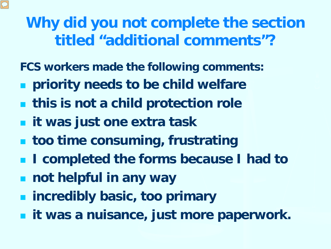#### **Why did you not complete the section titled "additional comments"?**

- **FCS workers made the following comments:**
- **priority needs to be child welfare**
- **this is not a child protection role**
- **it was just one extra task**
- **too time consuming, frustrating**
- **I** completed the forms because I had to
- **not helpful in any way**
- **incredibly basic, too primary**
- $\blacksquare$  **it was a nuisance, just more paperwork.**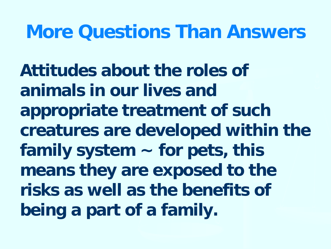#### **More Questions Than Answers**

**Attitudes about the roles of animals in our lives and appropriate treatment of such creatures are developed within the family system ~ for pets, this means they are exposed to the risks as well as the benefits of being a part of a family.**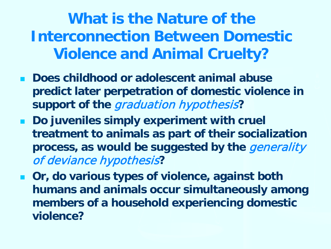**What is the Nature of the Interconnection Between Domestic Violence and Animal Cruelty?** 

- **Does childhood or adolescent animal abuse predict later perpetration of domestic violence in support of the** graduation hypothesis**?**
- **Do juveniles simply experiment with cruel treatment to animals as part of their socialization process, as would be suggested by the** generality of deviance hypothesis**?**
- **Or, do various types of violence, against both humans and animals occur simultaneously among members of a household experiencing domestic violence?**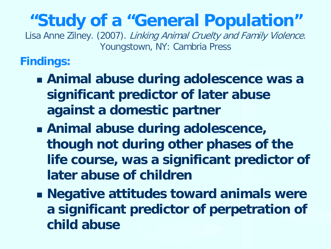#### **"Study of a "General Population"**

Lisa Anne Zilney. (2007). Linking Animal Cruelty and Family Violence. Youngstown, NY: Cambria Press

**Findings:** 

- **Animal abuse during adolescence was a significant predictor of later abuse against a domestic partner**
- **Animal abuse during adolescence, though not during other phases of the life course, was a significant predictor of later abuse of children**
- **Negative attitudes toward animals were a significant predictor of perpetration of child abuse**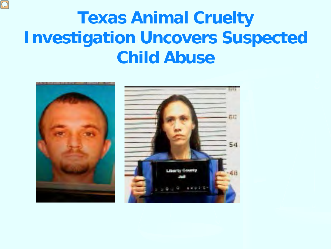#### **Texas Animal Cruelty Investigation Uncovers Suspected Child Abuse**



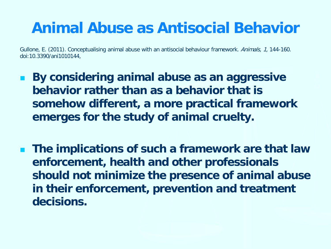#### **Animal Abuse as Antisocial Behavior**

Gullone, E. (2011). Conceptualising animal abuse with an antisocial behaviour framework. Animals, 1, 144-160. doi:10.3390/ani1010144,

- **By considering animal abuse as an aggressive behavior rather than as a behavior that is somehow different, a more practical framework emerges for the study of animal cruelty.**
- **The implications of such a framework are that law enforcement, health and other professionals should not minimize the presence of animal abuse in their enforcement, prevention and treatment decisions.**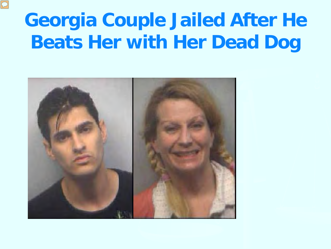### **Georgia Couple Jailed After He Beats Her with Her Dead Dog**

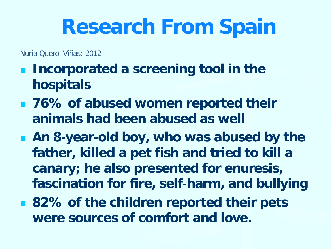## **Research From Spain**

Nuria Querol Viñas; 2012

- **Incorporated a screening tool in the hospitals**
- 76% of abused women reported their **animals had been abused as well**
- An 8-year-old boy, who was abused by the **father, killed a pet fish and tried to kill a canary; he also presented for enuresis, fascination for fire, self**‐**harm, and bullying**
- 82% of the children reported their pets **were sources of comfort and love.**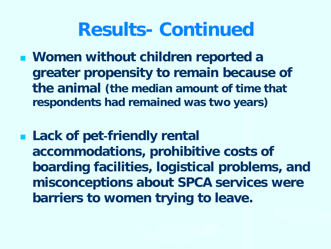#### **Results- Continued**

- **Women without children reported a greater propensity to remain because of the animal (the median amount of time that respondents had remained was two years)**
- Lack of pet-friendly rental **accommodations, prohibitive costs of boarding facilities, logistical problems, and misconceptions about SPCA services were barriers to women trying to leave.**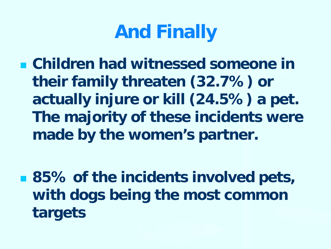#### **And Finally**

 **Children had witnessed someone in their family threaten (32.7%) or actually injure or kill (24.5%) a pet. The majority of these incidents were made by the women's partner.** 

■ 85% of the incidents involved pets, **with dogs being the most common targets**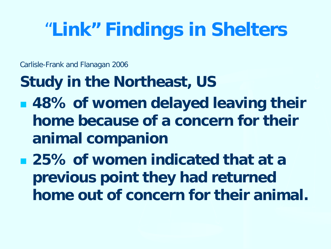### "**Link" Findings in Shelters**

Carlisle-Frank and Flanagan 2006

- **Study in the Northeast, US**
- **48% of women delayed leaving their home because of a concern for their animal companion**
- **25% of women indicated that at a previous point they had returned home out of concern for their animal.**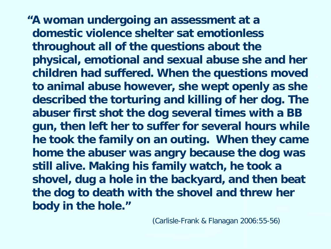**"A woman undergoing an assessment at a domestic violence shelter sat emotionless throughout all of the questions about the physical, emotional and sexual abuse she and her children had suffered. When the questions moved to animal abuse however, she wept openly as she described the torturing and killing of her dog. The abuser first shot the dog several times with a BB gun, then left her to suffer for several hours while he took the family on an outing. When they came home the abuser was angry because the dog was still alive. Making his family watch, he took a shovel, dug a hole in the backyard, and then beat the dog to death with the shovel and threw her body in the hole."** 

(Carlisle-Frank & Flanagan 2006:55-56)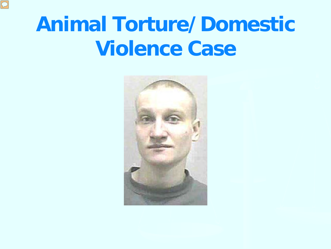## **Animal Torture/Domestic Violence Case**

 $\sqrt{C}$ 

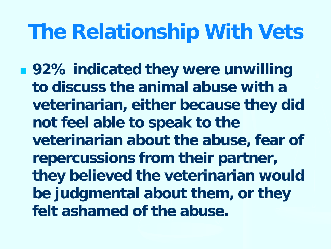## **The Relationship With Vets**

■ 92% indicated they were unwilling **to discuss the animal abuse with a veterinarian, either because they did not feel able to speak to the veterinarian about the abuse, fear of repercussions from their partner, they believed the veterinarian would be judgmental about them, or they felt ashamed of the abuse.**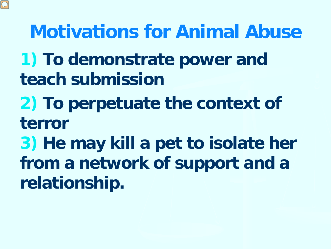#### **Motivations for Animal Abuse**

- **1) To demonstrate power and teach submission**
- **2) To perpetuate the context of terror**

**3) He may kill a pet to isolate her from a network of support and a relationship.**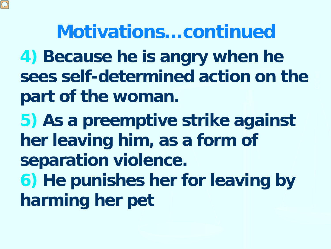#### **Motivations…continued**

**4) Because he is angry when he sees self-determined action on the part of the woman.**

**5) As a preemptive strike against her leaving him, as a form of separation violence. 6) He punishes her for leaving by harming her pet**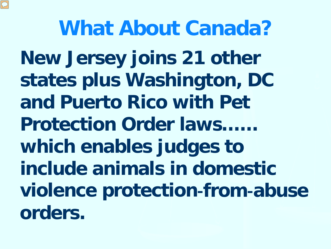**What About Canada? New Jersey joins 21 other states plus Washington, DC and Puerto Rico with Pet Protection Order laws…… which enables judges to include animals in domestic violence protection**‐**from**‐**abuse orders.**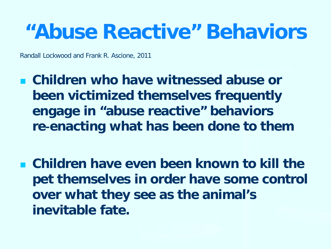#### **"Abuse Reactive" Behaviors**

Randall Lockwood and Frank R. Ascione, 2011

- **Children who have witnessed abuse or been victimized themselves frequently engage in "abuse reactive" behaviors re**‐**enacting what has been done to them**
- **Children have even been known to kill the pet themselves in order have some control over what they see as the animal's inevitable fate.**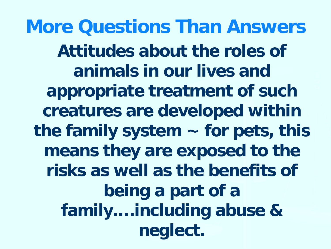**More Questions Than Answers Attitudes about the roles of animals in our lives and appropriate treatment of such creatures are developed within the family system ~ for pets, this means they are exposed to the risks as well as the benefits of being a part of a family….including abuse & neglect.**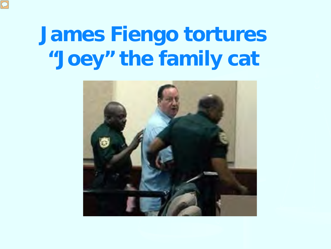## **James Fiengo tortures "Joey" the family cat**

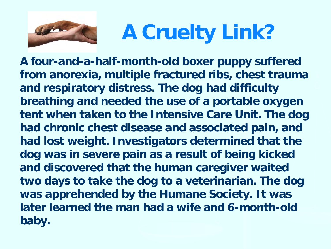

**A four-and-a-half-month-old boxer puppy suffered from anorexia, multiple fractured ribs, chest trauma and respiratory distress. The dog had difficulty breathing and needed the use of a portable oxygen tent when taken to the Intensive Care Unit. The dog had chronic chest disease and associated pain, and had lost weight. Investigators determined that the dog was in severe pain as a result of being kicked and discovered that the human caregiver waited two days to take the dog to a veterinarian. The dog was apprehended by the Humane Society. It was later learned the man had a wife and 6-month-old baby.**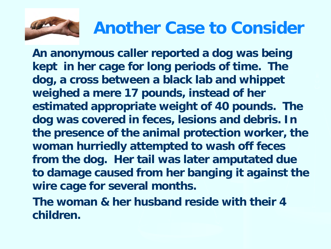

#### **Another Case to Consider**

**An anonymous caller reported a dog was being kept in her cage for long periods of time. The dog, a cross between a black lab and whippet weighed a mere 17 pounds, instead of her estimated appropriate weight of 40 pounds. The dog was covered in feces, lesions and debris. In the presence of the animal protection worker, the woman hurriedly attempted to wash off feces from the dog. Her tail was later amputated due to damage caused from her banging it against the wire cage for several months.** 

 **The woman & her husband reside with their 4 children.**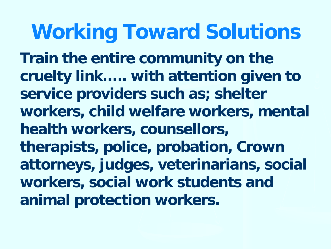**Working Toward Solutions Train the entire community on the cruelty link….. with attention given to service providers such as; shelter workers, child welfare workers, mental health workers, counsellors, therapists, police, probation, Crown attorneys, judges, veterinarians, social workers, social work students and animal protection workers.**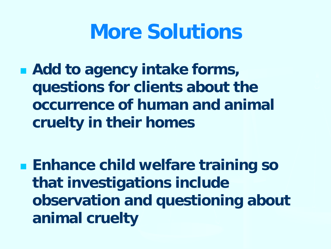### **More Solutions**

■ Add to agency intake forms, **questions for clients about the occurrence of human and animal cruelty in their homes**

 **Enhance child welfare training so that investigations include observation and questioning about animal cruelty**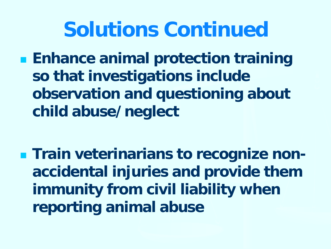### **Solutions Continued**

 **Enhance animal protection training so that investigations include observation and questioning about child abuse/neglect**

**Example 10 Train veterinarians to recognize nonaccidental injuries and provide them immunity from civil liability when reporting animal abuse**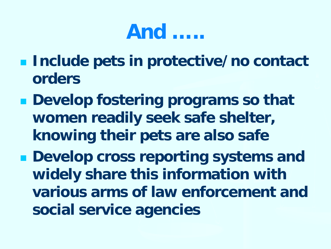#### **And …..**

- **Include pets in protective/no contact orders**
- **Develop fostering programs so that women readily seek safe shelter, knowing their pets are also safe**
- **Develop cross reporting systems and widely share this information with various arms of law enforcement and social service agencies**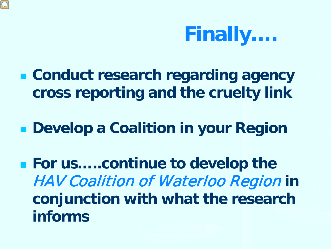

- **Conduct research regarding agency cross reporting and the cruelty link**
- **Develop a Coalition in your Region**
- For us.....continue to develop the HAV Coalition of Waterloo Region **in conjunction with what the research informs**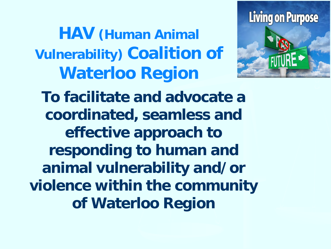**HAV (Human Animal Vulnerability) Coalition of Waterloo Region** 



**To facilitate and advocate a coordinated, seamless and effective approach to responding to human and animal vulnerability and/or violence within the community of Waterloo Region**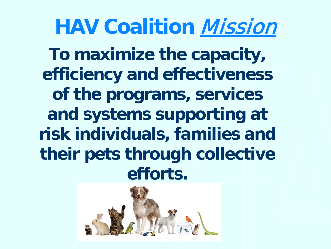#### **HAV Coalition Mission**

**To maximize the capacity, efficiency and effectiveness of the programs, services and systems supporting at risk individuals, families and their pets through collective efforts.** 

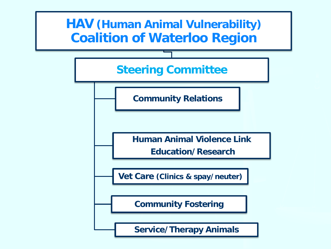#### **HAV (Human Animal Vulnerability) Coalition of Waterloo Region**



**Community Relations**

**Human Animal Violence Link**

 **Education/Research** 

**Vet Care (Clinics & spay/neuter)**

**Community Fostering**

**Service/Therapy Animals**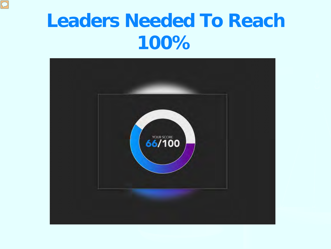#### **Leaders Needed To Reach 100%**

 $\boxed{\bigcirc}$ 

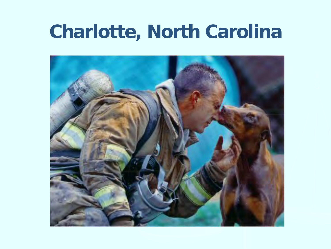#### **Charlotte, North Carolina**

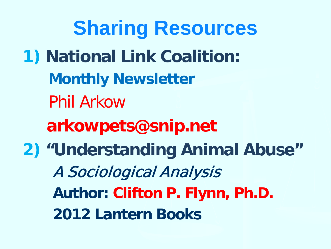**Sharing Resources 1) National Link Coalition: Monthly Newsletter** Phil Arkow  **arkowpets@snip.net 2) "Understanding Animal Abuse"** A Sociological Analysis  **Author: Clifton P. Flynn, Ph.D. 2012 Lantern Books**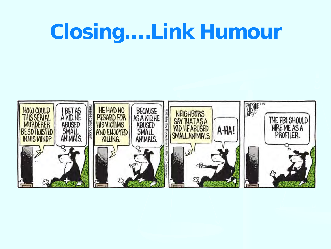## **Closing….Link Humour**